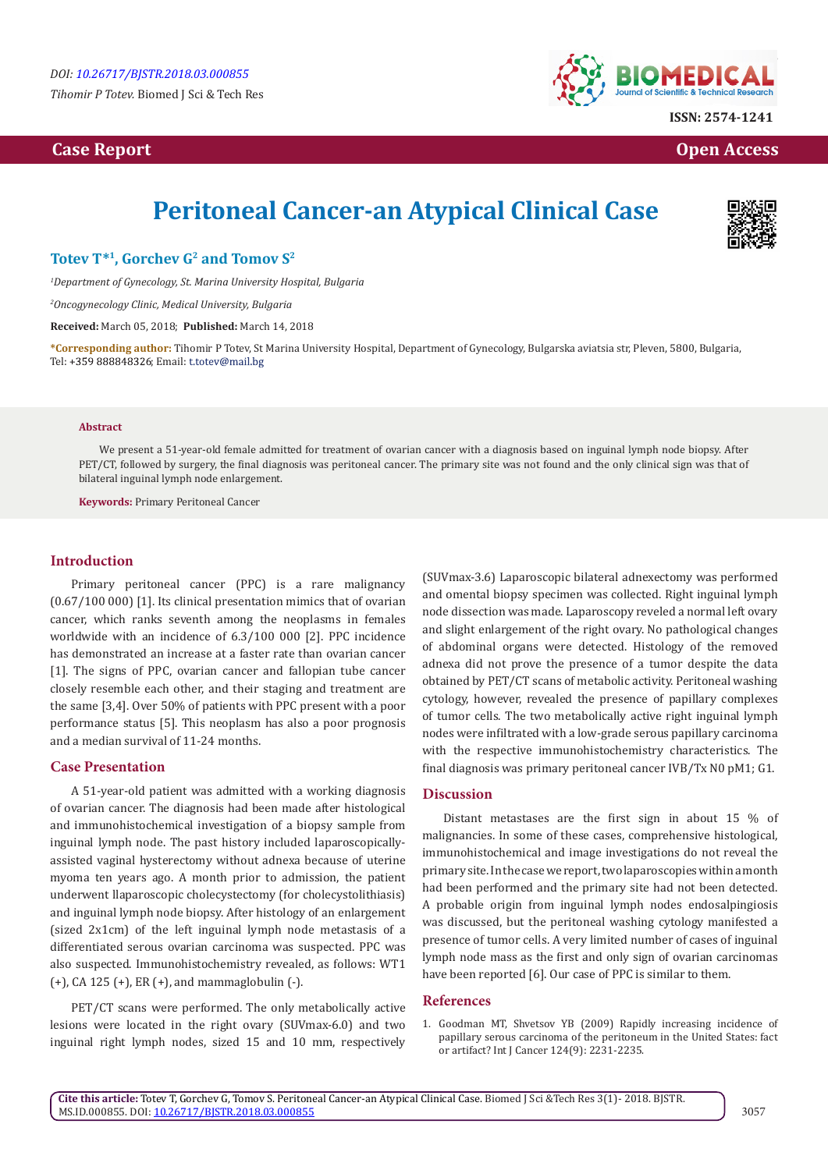*Tihomir P Totev.* Biomed J Sci & Tech Res

## **Case Report Open Access**



# **Peritoneal Cancer-an Atypical Clinical Case**



### Totev T<sup>\*1</sup>, Gorchev G<sup>2</sup> and Tomov S<sup>2</sup>

*1 Department of Gynecology, St. Marina University Hospital, Bulgaria*

*2 Oncogynecology Clinic, Medical University, Bulgaria*

**Received:** March 05, 2018; **Published:** March 14, 2018

**\*Corresponding author:** Tihomir P Totev, St Marina University Hospital, Department of Gynecology, Bulgarska aviatsia str, Pleven, 5800, Bulgaria, Tel: +359 888848326; Email: t.totev@mail.bg

#### **Abstract**

We present a 51-year-old female admitted for treatment of ovarian cancer with a diagnosis based on inguinal lymph node biopsy. After PET/CT, followed by surgery, the final diagnosis was peritoneal cancer. The primary site was not found and the only clinical sign was that of bilateral inguinal lymph node enlargement.

**Keywords:** Primary Peritoneal Cancer

#### **Introduction**

Primary peritoneal cancer (PPC) is a rare malignancy (0.67/100 000) [1]. Its clinical presentation mimics that of ovarian cancer, which ranks seventh among the neoplasms in females worldwide with an incidence of 6.3/100 000 [2]. PPC incidence has demonstrated an increase at a faster rate than ovarian cancer [1]. The signs of PPC, ovarian cancer and fallopian tube cancer closely resemble each other, and their staging and treatment are the same [3,4]. Over 50% of patients with PPC present with a poor performance status [5]. This neoplasm has also a poor prognosis and a median survival of 11-24 months.

#### **Case Presentation**

A 51-year-old patient was admitted with a working diagnosis of ovarian cancer. The diagnosis had been made after histological and immunohistochemical investigation of a biopsy sample from inguinal lymph node. The past history included laparoscopicallyassisted vaginal hysterectomy without adnexa because of uterine myoma ten years ago. A month prior to admission, the patient underwent llaparoscopic cholecystectomy (for cholecystolithiasis) and inguinal lymph node biopsy. After histology of an enlargement (sized 2x1cm) of the left inguinal lymph node metastasis of a differentiated serous ovarian carcinoma was suspected. PPC was also suspected. Immunohistochemistry revealed, as follows: WT1 (+), CA 125 (+), ER (+), and mammaglobulin (-).

PET/CT scans were performed. The only metabolically active lesions were located in the right ovary (SUVmax-6.0) and two inguinal right lymph nodes, sized 15 and 10 mm, respectively

(SUVmax-3.6) Laparoscopic bilateral adnexectomy was performed and omental biopsy specimen was collected. Right inguinal lymph node dissection was made. Laparoscopy reveled a normal left ovary and slight enlargement of the right ovary. No pathological changes of abdominal organs were detected. Histology of the removed adnexa did not prove the presence of a tumor despite the data obtained by PET/CT scans of metabolic activity. Peritoneal washing cytology, however, revealed the presence of papillary complexes of tumor cells. The two metabolically active right inguinal lymph nodes were infiltrated with a low-grade serous papillary carcinoma with the respective immunohistochemistry characteristics. The final diagnosis was primary peritoneal cancer IVB/Tx N0 рM1; G1.

#### **Discussion**

Distant metastases are the first sign in about 15 % of malignancies. In some of these cases, comprehensive histological, immunohistochemical and image investigations do not reveal the primary site. In the case we report, two laparoscopies within a month had been performed and the primary site had not been detected. A probable origin from inguinal lymph nodes endosalpingiosis was discussed, but the peritoneal washing cytology manifested a presence of tumor cells. A very limited number of cases of inguinal lymph node mass as the first and only sign of ovarian carcinomas have been reported [6]. Our case of PPC is similar to them.

#### **References**

1. [Goodman MT, Shvetsov YB \(2009\) Rapidly increasing incidence of](https://www.ncbi.nlm.nih.gov/pubmed/19127596)  [papillary serous carcinoma of the peritoneum in the United States: fact](https://www.ncbi.nlm.nih.gov/pubmed/19127596)  [or artifact? Int J Cancer 124\(9\): 2231-2235.](https://www.ncbi.nlm.nih.gov/pubmed/19127596)